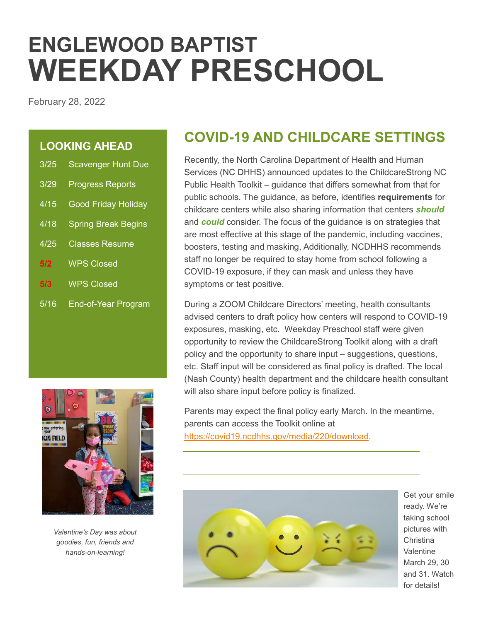# **ENGLEWOOD BAPTIST WEEKDAY PRESCHOOL**

February 28, 2022

### **LOOKING AHEAD**

| 3/25 | <b>Scavenger Hunt Due</b>  |
|------|----------------------------|
| 3/29 | <b>Progress Reports</b>    |
| 4/15 | <b>Good Friday Holiday</b> |
| 4/18 | <b>Spring Break Begins</b> |
| 4/25 | <b>Classes Resume</b>      |
| 5/2  | <b>WPS Closed</b>          |
| 5/3  | <b>WPS Closed</b>          |
|      |                            |

5/16 End-of-Year Program



*Valentine's Day was about goodies, fun, friends and hands-on-learning!*

### **COVID-19 AND CHILDCARE SETTINGS**

Recently, the North Carolina Department of Health and Human Services (NC DHHS) announced updates to the ChildcareStrong NC Public Health Toolkit – guidance that differs somewhat from that for public schools. The guidance, as before, identifies **requirements** for childcare centers while also sharing information that centers *should* and *could* consider. The focus of the guidance is on strategies that are most effective at this stage of the pandemic, including vaccines, boosters, testing and masking, Additionally, NCDHHS recommends staff no longer be required to stay home from school following a COVID-19 exposure, if they can mask and unless they have symptoms or test positive.

During a ZOOM Childcare Directors' meeting, health consultants advised centers to draft policy how centers will respond to COVID-19 exposures, masking, etc. Weekday Preschool staff were given opportunity to review the ChildcareStrong Toolkit along with a draft policy and the opportunity to share input – suggestions, questions, etc. Staff input will be considered as final policy is drafted. The local (Nash County) health department and the childcare health consultant will also share input before policy is finalized.

Parents may expect the final policy early March. In the meantime, parents can access the Toolkit online at [https://covid19.ncdhhs.gov/media/220/download.](https://covid19.ncdhhs.gov/media/220/download)



Get your smile ready. We're taking school pictures with **Christina** Valentine March 29, 30 and 31. Watch for details!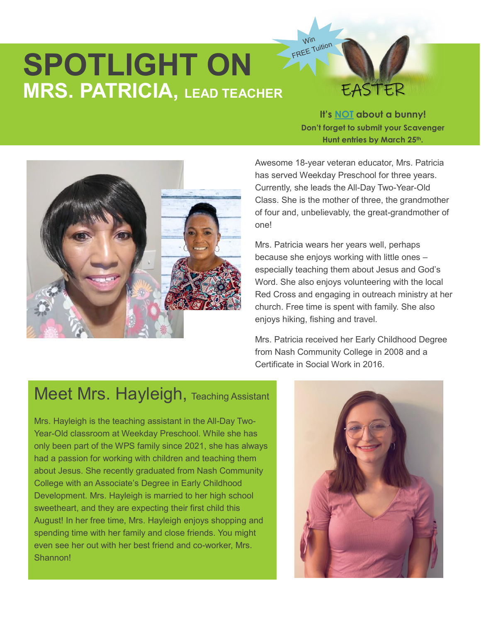# **SPOTLIGHT ON MRS. PATRICIA, LEAD TEACHER**

## EASTER

**It's NOT about a bunny! Don't forget to submit your Scavenger Hunt entries by March 25th.**



Awesome 18-year veteran educator, Mrs. Patricia has served Weekday Preschool for three years. Currently, she leads the All-Day Two-Year-Old Class. She is the mother of three, the grandmother of four and, unbelievably, the great-grandmother of one!

Win Win<br>FREE Tuition

Mrs. Patricia wears her years well, perhaps because she enjoys working with little ones – especially teaching them about Jesus and God's Word. She also enjoys volunteering with the local Red Cross and engaging in outreach ministry at her church. Free time is spent with family. She also enjoys hiking, fishing and travel.

Mrs. Patricia received her Early Childhood Degree from Nash Community College in 2008 and a Certificate in Social Work in 2016.

### Meet Mrs. Hayleigh, Teaching Assistant

Mrs. Hayleigh is the teaching assistant in the All-Day Two-Year-Old classroom at Weekday Preschool. While she has only been part of the WPS family since 2021, she has always had a passion for working with children and teaching them about Jesus. She recently graduated from Nash Community College with an Associate's Degree in Early Childhood Development. Mrs. Hayleigh is married to her high school sweetheart, and they are expecting their first child this August! In her free time, Mrs. Hayleigh enjoys shopping and spending time with her family and close friends. You might even see her out with her best friend and co-worker, Mrs. Shannon!

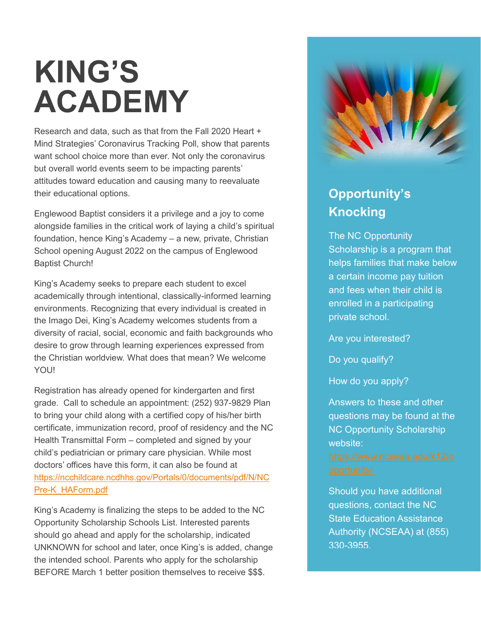# **KING'S ACADEMY**

Research and data, such as that from the Fall 2020 Heart + Mind Strategies' Coronavirus Tracking Poll, show that parents want school choice more than ever. Not only the coronavirus but overall world events seem to be impacting parents' attitudes toward education and causing many to reevaluate their educational options.

Englewood Baptist considers it a privilege and a joy to come alongside families in the critical work of laying a child's spiritual foundation, hence King's Academy – a new, private, Christian School opening August 2022 on the campus of Englewood Baptist Church!

King's Academy seeks to prepare each student to excel academically through intentional, classically-informed learning environments. Recognizing that every individual is created in the Imago Dei, King's Academy welcomes students from a diversity of racial, social, economic and faith backgrounds who desire to grow through learning experiences expressed from the Christian worldview. What does that mean? We welcome YOU!

Registration has already opened for kindergarten and first grade. Call to schedule an appointment: (252) 937-9829 Plan to bring your child along with a certified copy of his/her birth certificate, immunization record, proof of residency and the NC Health Transmittal Form – completed and signed by your child's pediatrician or primary care physician. While most doctors' offices have this form, it can also be found at [https://ncchildcare.ncdhhs.gov/Portals/0/documents/pdf/N/NC](https://ncchildcare.ncdhhs.gov/Portals/0/documents/pdf/N/NCPre-K_HAForm.pdf) [Pre-K\\_HAForm.pdf](https://ncchildcare.ncdhhs.gov/Portals/0/documents/pdf/N/NCPre-K_HAForm.pdf)

King's Academy is finalizing the steps to be added to the NC Opportunity Scholarship Schools List. Interested parents should go ahead and apply for the scholarship, indicated UNKNOWN for school and later, once King's is added, change the intended school. Parents who apply for the scholarship BEFORE March 1 better position themselves to receive \$\$\$.



### **Opportunity's Knocking**

The NC Opportunity Scholarship is a program that helps families that make below a certain income pay tuition and fees when their child is enrolled in a participating private school.

Are you interested?

Do you qualify?

How do you apply?

Answers to these and other questions may be found at the NC Opportunity Scholarship website:

Should you have additional questions, contact the NC State Education Assistance Authority (NCSEAA) at (855) 330-3955.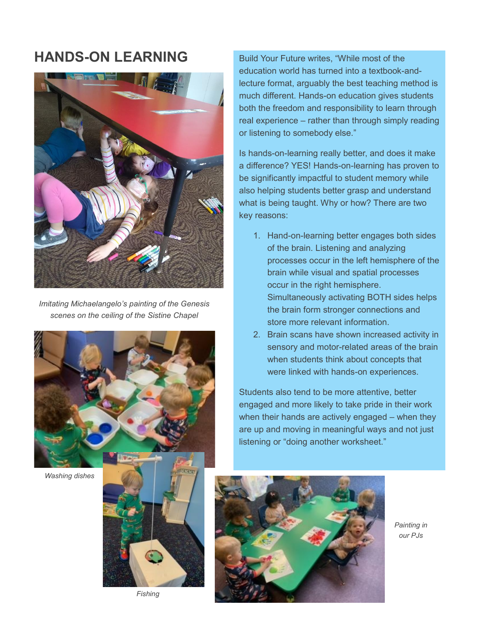### **HANDS-ON LEARNING**



*Imitating Michaelangelo's painting of the Genesis scenes on the ceiling of the Sistine Chapel*

Build Your Future writes, "While most of the education world has turned into a textbook-andlecture format, arguably the best teaching method is much different. Hands-on education gives students both the freedom and responsibility to learn through real experience – rather than through simply reading or listening to somebody else."

Is hands-on-learning really better, and does it make a difference? YES! Hands-on-learning has proven to be significantly impactful to student memory while also helping students better grasp and understand what is being taught. Why or how? There are two key reasons:

- 1. Hand-on-learning better engages both sides of the brain. Listening and analyzing processes occur in the left hemisphere of the brain while visual and spatial processes occur in the right hemisphere. Simultaneously activating BOTH sides helps the brain form stronger connections and store more relevant information.
- 2. Brain scans have shown increased activity in sensory and motor-related areas of the brain when students think about concepts that were linked with hands-on experiences.

Students also tend to be more attentive, better engaged and more likely to take pride in their work when their hands are actively engaged – when they are up and moving in meaningful ways and not just listening or "doing another worksheet."



*Washing dishes*



*Fishing*



*Painting in our PJs*